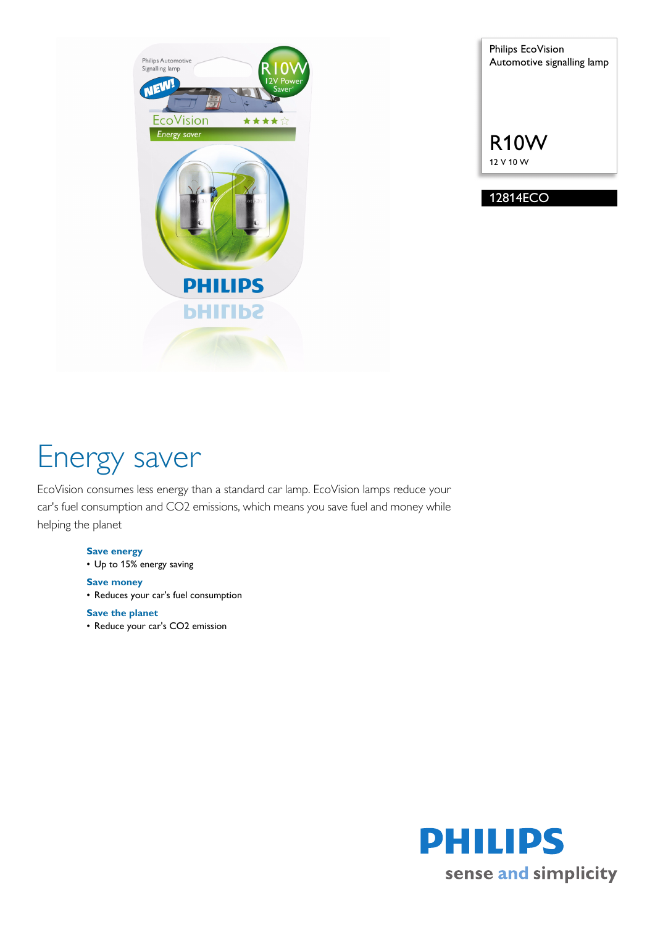

Philips EcoVision Automotive signalling lamp R10W 12 V 10 W

12814ECO

# Energy saver

EcoVision consumes less energy than a standard car lamp. EcoVision lamps reduce your car's fuel consumption and CO2 emissions, which means you save fuel and money while helping the planet

## **Save energy**

• Up to 15% energy saving

## **Save money**

• Reduces your car's fuel consumption

## **Save the planet**

• Reduce your car's CO2 emission